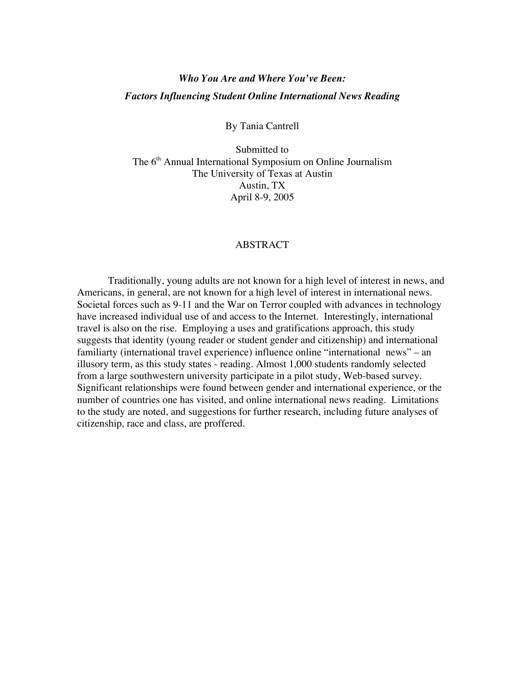# *Who You Are and Where You've Been: Factors Influencing Student Online International News Reading*

By Tania Cantrell

Submitted to The 6<sup>th</sup> Annual International Symposium on Online Journalism The University of Texas at Austin Austin, TX April 8-9, 2005

# ABSTRACT

Traditionally, young adults are not known for a high level of interest in news, and Americans, in general, are not known for a high level of interest in international news. Societal forces such as 9-11 and the War on Terror coupled with advances in technology have increased individual use of and access to the Internet. Interestingly, international travel is also on the rise. Employing a uses and gratifications approach, this study suggests that identity (young reader or student gender and citizenship) and international familiarty (international travel experience) influence online "international news" – an illusory term, as this study states - reading. Almost 1,000 students randomly selected from a large southwestern university participate in a pilot study, Web-based survey. Significant relationships were found between gender and international experience, or the number of countries one has visited, and online international news reading. Limitations to the study are noted, and suggestions for further research, including future analyses of citizenship, race and class, are proffered.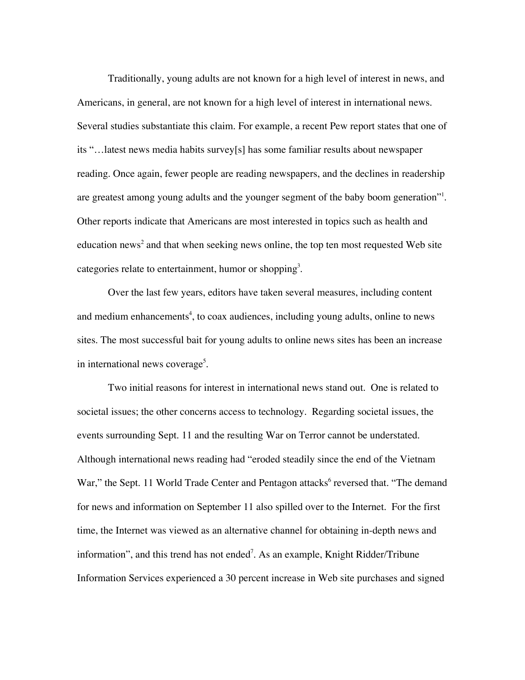Traditionally, young adults are not known for a high level of interest in news, and Americans, in general, are not known for a high level of interest in international news. Several studies substantiate this claim. For example, a recent Pew report states that one of its "…latest news media habits survey[s] has some familiar results about newspaper reading. Once again, fewer people are reading newspapers, and the declines in readership are greatest among young adults and the younger segment of the baby boom generation"<sup>1</sup>. Other reports indicate that Americans are most interested in topics such as health and education news<sup>2</sup> and that when seeking news online, the top ten most requested Web site categories relate to entertainment, humor or shopping<sup>3</sup>.

Over the last few years, editors have taken several measures, including content and medium enhancements<sup>4</sup>, to coax audiences, including young adults, online to news sites. The most successful bait for young adults to online news sites has been an increase in international news coverage<sup>5</sup>.

Two initial reasons for interest in international news stand out. One is related to societal issues; the other concerns access to technology. Regarding societal issues, the events surrounding Sept. 11 and the resulting War on Terror cannot be understated. Although international news reading had "eroded steadily since the end of the Vietnam War," the Sept. 11 World Trade Center and Pentagon attacks<sup>6</sup> reversed that. "The demand for news and information on September 11 also spilled over to the Internet. For the first time, the Internet was viewed as an alternative channel for obtaining in-depth news and information", and this trend has not ended<sup>7</sup>. As an example, Knight Ridder/Tribune Information Services experienced a 30 percent increase in Web site purchases and signed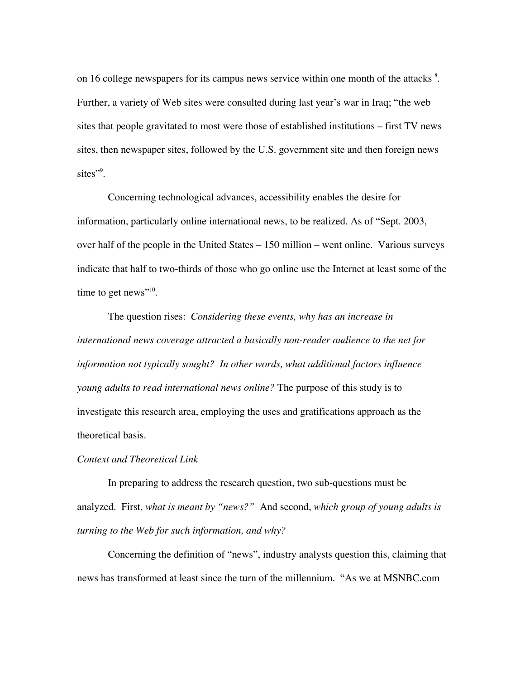on 16 college newspapers for its campus news service within one month of the attacks  $8$ . Further, a variety of Web sites were consulted during last year's war in Iraq; "the web sites that people gravitated to most were those of established institutions – first TV news sites, then newspaper sites, followed by the U.S. government site and then foreign news sites"<sup>9</sup>.

Concerning technological advances, accessibility enables the desire for information, particularly online international news, to be realized. As of "Sept. 2003, over half of the people in the United States – 150 million – went online. Various surveys indicate that half to two-thirds of those who go online use the Internet at least some of the time to get news"<sup>10</sup>.

The question rises: *Considering these events, why has an increase in international news coverage attracted a basically non-reader audience to the net for information not typically sought? In other words, what additional factors influence young adults to read international news online?* The purpose of this study is to investigate this research area, employing the uses and gratifications approach as the theoretical basis.

# *Context and Theoretical Link*

In preparing to address the research question, two sub-questions must be analyzed. First, *what is meant by "news?"* And second, *which group of young adults is turning to the Web for such information, and why?*

Concerning the definition of "news", industry analysts question this, claiming that news has transformed at least since the turn of the millennium. "As we at MSNBC.com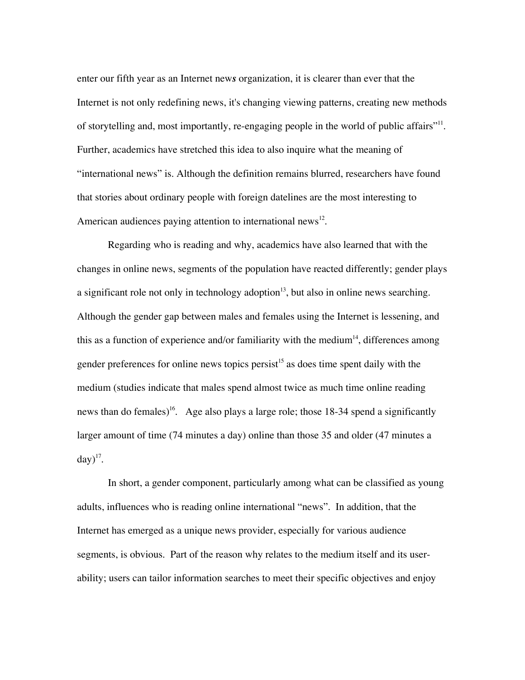enter our fifth year as an Internet new*s* organization, it is clearer than ever that the Internet is not only redefining news, it's changing viewing patterns, creating new methods of storytelling and, most importantly, re-engaging people in the world of public affairs"<sup>11</sup>. Further, academics have stretched this idea to also inquire what the meaning of "international news" is. Although the definition remains blurred, researchers have found that stories about ordinary people with foreign datelines are the most interesting to American audiences paying attention to international news $^{12}$ .

Regarding who is reading and why, academics have also learned that with the changes in online news, segments of the population have reacted differently; gender plays a significant role not only in technology adoption $13$ , but also in online news searching. Although the gender gap between males and females using the Internet is lessening, and this as a function of experience and/or familiarity with the medium<sup>14</sup>, differences among gender preferences for online news topics persist<sup>15</sup> as does time spent daily with the medium (studies indicate that males spend almost twice as much time online reading news than do females)<sup>16</sup>. Age also plays a large role; those 18-34 spend a significantly larger amount of time (74 minutes a day) online than those 35 and older (47 minutes a  $\text{day})^{17}$ .

In short, a gender component, particularly among what can be classified as young adults, influences who is reading online international "news". In addition, that the Internet has emerged as a unique news provider, especially for various audience segments, is obvious. Part of the reason why relates to the medium itself and its userability; users can tailor information searches to meet their specific objectives and enjoy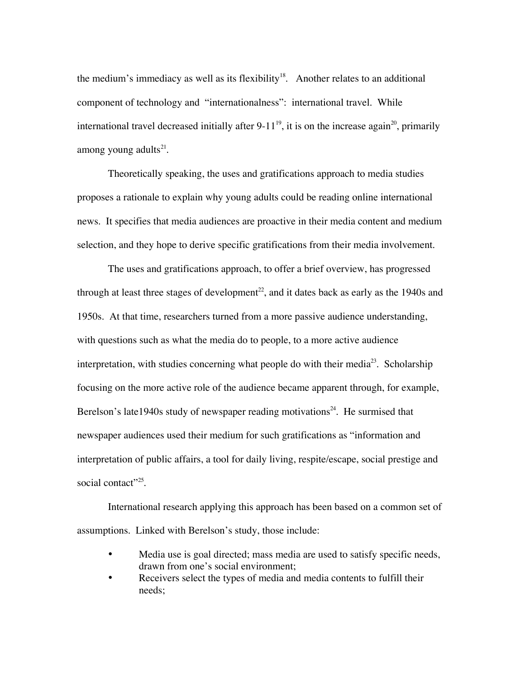the medium's immediacy as well as its flexibility<sup>18</sup>. Another relates to an additional component of technology and "internationalness": international travel. While international travel decreased initially after 9-11<sup>19</sup>, it is on the increase again<sup>20</sup>, primarily among young adults $^{21}$ .

Theoretically speaking, the uses and gratifications approach to media studies proposes a rationale to explain why young adults could be reading online international news. It specifies that media audiences are proactive in their media content and medium selection, and they hope to derive specific gratifications from their media involvement.

The uses and gratifications approach, to offer a brief overview, has progressed through at least three stages of development $^{22}$ , and it dates back as early as the 1940s and 1950s. At that time, researchers turned from a more passive audience understanding, with questions such as what the media do to people, to a more active audience interpretation, with studies concerning what people do with their media $^{23}$ . Scholarship focusing on the more active role of the audience became apparent through, for example, Berelson's late1940s study of newspaper reading motivations<sup>24</sup>. He surmised that newspaper audiences used their medium for such gratifications as "information and interpretation of public affairs, a tool for daily living, respite/escape, social prestige and social contact"<sup>25</sup>.

International research applying this approach has been based on a common set of assumptions. Linked with Berelson's study, those include:

- Media use is goal directed; mass media are used to satisfy specific needs, drawn from one's social environment;
- Receivers select the types of media and media contents to fulfill their needs;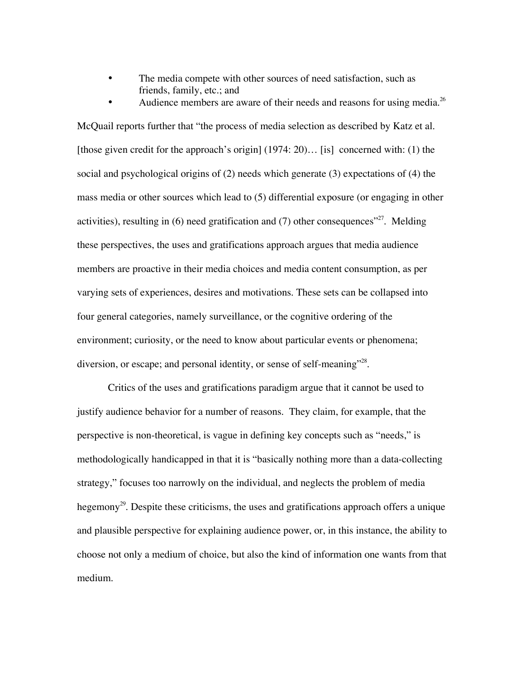• The media compete with other sources of need satisfaction, such as friends, family, etc.; and

Audience members are aware of their needs and reasons for using media.<sup>26</sup> McQuail reports further that "the process of media selection as described by Katz et al. [those given credit for the approach's origin] (1974: 20)... [is] concerned with: (1) the social and psychological origins of (2) needs which generate (3) expectations of (4) the

mass media or other sources which lead to (5) differential exposure (or engaging in other activities), resulting in  $(6)$  need gratification and  $(7)$  other consequences"<sup>27</sup>. Melding these perspectives, the uses and gratifications approach argues that media audience members are proactive in their media choices and media content consumption, as per varying sets of experiences, desires and motivations. These sets can be collapsed into four general categories, namely surveillance, or the cognitive ordering of the environment; curiosity, or the need to know about particular events or phenomena; diversion, or escape; and personal identity, or sense of self-meaning"<sup>28</sup>.

Critics of the uses and gratifications paradigm argue that it cannot be used to justify audience behavior for a number of reasons. They claim, for example, that the perspective is non-theoretical, is vague in defining key concepts such as "needs," is methodologically handicapped in that it is "basically nothing more than a data-collecting strategy," focuses too narrowly on the individual, and neglects the problem of media hegemony<sup>29</sup>. Despite these criticisms, the uses and gratifications approach offers a unique and plausible perspective for explaining audience power, or, in this instance, the ability to choose not only a medium of choice, but also the kind of information one wants from that medium.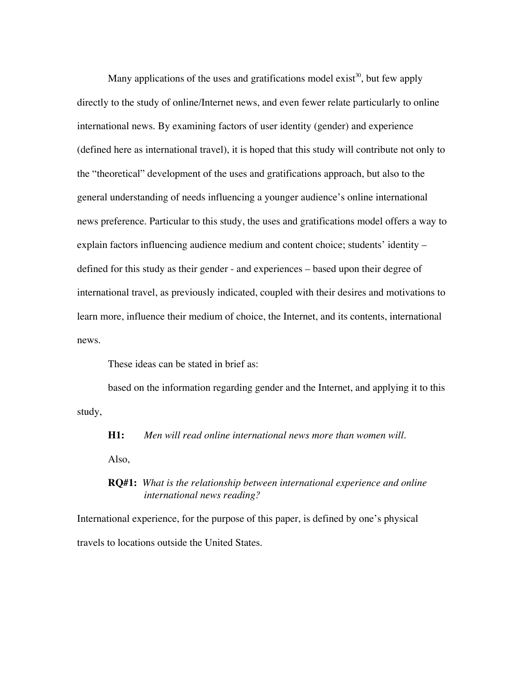Many applications of the uses and gratifications model exist<sup>30</sup>, but few apply directly to the study of online/Internet news, and even fewer relate particularly to online international news. By examining factors of user identity (gender) and experience (defined here as international travel), it is hoped that this study will contribute not only to the "theoretical" development of the uses and gratifications approach, but also to the general understanding of needs influencing a younger audience's online international news preference. Particular to this study, the uses and gratifications model offers a way to explain factors influencing audience medium and content choice; students' identity – defined for this study as their gender - and experiences – based upon their degree of international travel, as previously indicated, coupled with their desires and motivations to learn more, influence their medium of choice, the Internet, and its contents, international news.

These ideas can be stated in brief as:

based on the information regarding gender and the Internet, and applying it to this study,

**H1:** *Men will read online international news more than women will.*

Also,

# **RQ#1:** *What is the relationship between international experience and online international news reading?*

International experience, for the purpose of this paper, is defined by one's physical travels to locations outside the United States.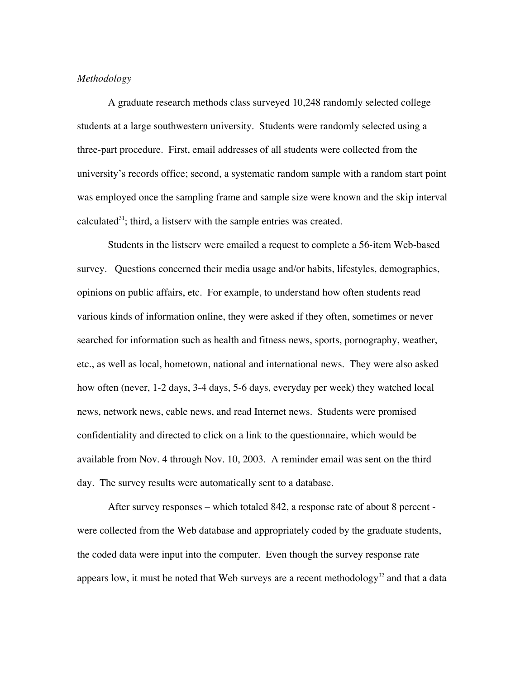### *Methodology*

A graduate research methods class surveyed 10,248 randomly selected college students at a large southwestern university. Students were randomly selected using a three-part procedure. First, email addresses of all students were collected from the university's records office; second, a systematic random sample with a random start point was employed once the sampling frame and sample size were known and the skip interval calculated $31$ ; third, a listserv with the sample entries was created.

Students in the listserv were emailed a request to complete a 56-item Web-based survey. Questions concerned their media usage and/or habits, lifestyles, demographics, opinions on public affairs, etc. For example, to understand how often students read various kinds of information online, they were asked if they often, sometimes or never searched for information such as health and fitness news, sports, pornography, weather, etc., as well as local, hometown, national and international news. They were also asked how often (never, 1-2 days, 3-4 days, 5-6 days, everyday per week) they watched local news, network news, cable news, and read Internet news. Students were promised confidentiality and directed to click on a link to the questionnaire, which would be available from Nov. 4 through Nov. 10, 2003. A reminder email was sent on the third day. The survey results were automatically sent to a database.

After survey responses – which totaled 842, a response rate of about 8 percent were collected from the Web database and appropriately coded by the graduate students, the coded data were input into the computer. Even though the survey response rate appears low, it must be noted that Web surveys are a recent methodology $^{32}$  and that a data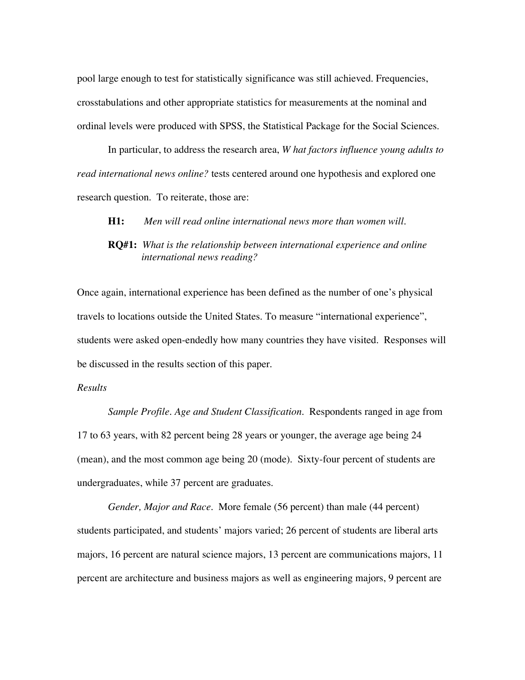pool large enough to test for statistically significance was still achieved. Frequencies, crosstabulations and other appropriate statistics for measurements at the nominal and ordinal levels were produced with SPSS, the Statistical Package for the Social Sciences.

In particular, to address the research area, *W hat factors influence young adults to read international news online?* tests centered around one hypothesis and explored one research question. To reiterate, those are:

#### **H1:** *Men will read online international news more than women will.*

# **RQ#1:** *What is the relationship between international experience and online international news reading?*

Once again, international experience has been defined as the number of one's physical travels to locations outside the United States. To measure "international experience", students were asked open-endedly how many countries they have visited. Responses will be discussed in the results section of this paper.

#### *Results*

*Sample Profile. Age and Student Classification.* Respondents ranged in age from 17 to 63 years, with 82 percent being 28 years or younger, the average age being 24 (mean), and the most common age being 20 (mode). Sixty-four percent of students are undergraduates, while 37 percent are graduates.

*Gender, Major and Race.* More female (56 percent) than male (44 percent) students participated, and students' majors varied; 26 percent of students are liberal arts majors, 16 percent are natural science majors, 13 percent are communications majors, 11 percent are architecture and business majors as well as engineering majors, 9 percent are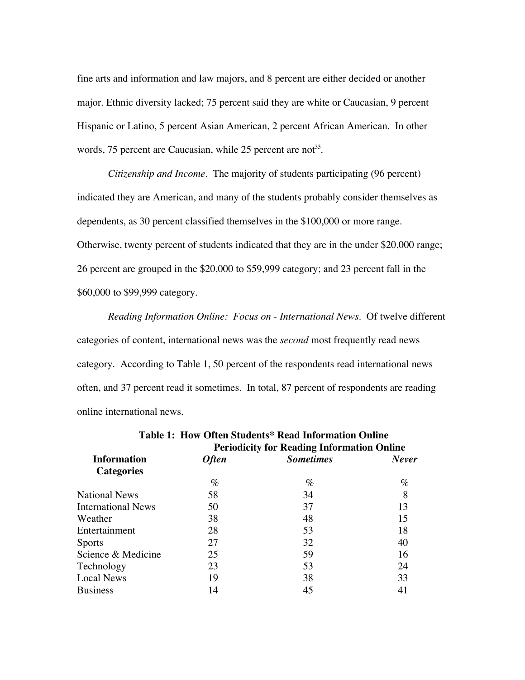fine arts and information and law majors, and 8 percent are either decided or another major. Ethnic diversity lacked; 75 percent said they are white or Caucasian, 9 percent Hispanic or Latino, 5 percent Asian American, 2 percent African American. In other words, 75 percent are Caucasian, while 25 percent are not<sup>33</sup>.

*Citizenship and Income.* The majority of students participating (96 percent) indicated they are American, and many of the students probably consider themselves as dependents, as 30 percent classified themselves in the \$100,000 or more range. Otherwise, twenty percent of students indicated that they are in the under \$20,000 range; 26 percent are grouped in the \$20,000 to \$59,999 category; and 23 percent fall in the \$60,000 to \$99,999 category.

*Reading Information Online: Focus on - International News.* Of twelve different categories of content, international news was the *second* most frequently read news category. According to Table 1, 50 percent of the respondents read international news often, and 37 percent read it sometimes. In total, 87 percent of respondents are reading online international news.

|              | <b>Periodicity for Reading Information Online</b> |       |  |  |
|--------------|---------------------------------------------------|-------|--|--|
| <b>Often</b> | <b>Sometimes</b>                                  | Never |  |  |
|              |                                                   |       |  |  |
| $\%$         | $\%$                                              | %     |  |  |
| 58           | 34                                                | 8     |  |  |
| 50           | 37                                                | 13    |  |  |
| 38           | 48                                                | 15    |  |  |
| 28           | 53                                                | 18    |  |  |
| 27           | 32                                                | 40    |  |  |
| 25           | 59                                                | 16    |  |  |
| 23           | 53                                                | 24    |  |  |
| 19           | 38                                                | 33    |  |  |
| 14           | 45                                                | 41    |  |  |
|              |                                                   |       |  |  |

| Table 1: How Often Students* Read Information Online |
|------------------------------------------------------|
| <b>Periodicity for Reading Information Onlin</b>     |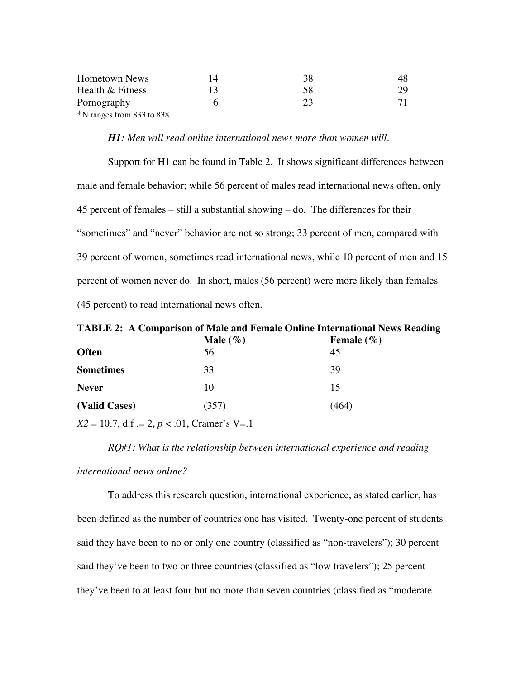| <b>Hometown News</b>       | 38           | 48 |
|----------------------------|--------------|----|
| Health & Fitness           | 58           | 29 |
| Pornography                | $2^{\prime}$ |    |
| *N ranges from 833 to 838. |              |    |

## *H1: Men will read online international news more than women will.*

Support for H1 can be found in Table 2. It shows significant differences between male and female behavior; while 56 percent of males read international news often, only 45 percent of females – still a substantial showing – do. The differences for their "sometimes" and "never" behavior are not so strong; 33 percent of men, compared with 39 percent of women, sometimes read international news, while 10 percent of men and 15 percent of women never do. In short, males (56 percent) were more likely than females (45 percent) to read international news often.

**TABLE 2: A Comparison of Male and Female Online International News Reading**

|       | Female $(\% )$ |
|-------|----------------|
| 56    | 45             |
| 33    | 39             |
| 10    | 15             |
| (357) | (464)          |
|       | Male $(\%)$    |

 $X2 = 10.7$ , d.f  $= 2$ ,  $p < .01$ , Cramer's V=.1

*RQ#1: What is the relationship between international experience and reading*

#### *international news online?*

To address this research question, international experience, as stated earlier, has been defined as the number of countries one has visited. Twenty-one percent of students said they have been to no or only one country (classified as "non-travelers"); 30 percent said they've been to two or three countries (classified as "low travelers"); 25 percent they've been to at least four but no more than seven countries (classified as "moderate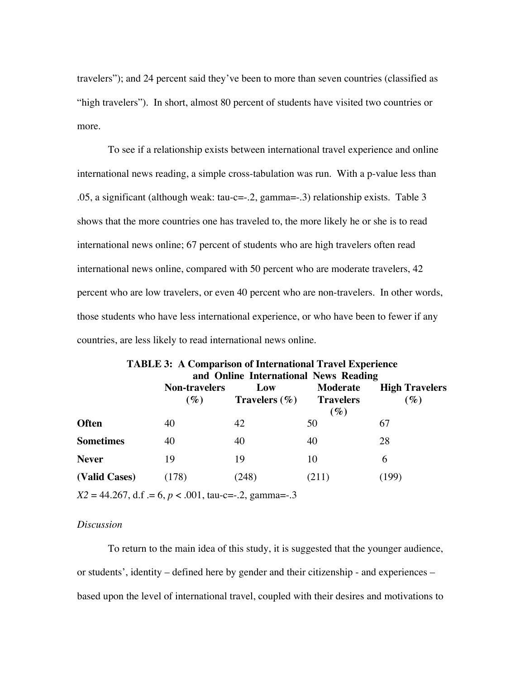travelers"); and 24 percent said they've been to more than seven countries (classified as "high travelers"). In short, almost 80 percent of students have visited two countries or more.

To see if a relationship exists between international travel experience and online international news reading, a simple cross-tabulation was run. With a p-value less than .05, a significant (although weak: tau-c=-.2, gamma=-.3) relationship exists. Table 3 shows that the more countries one has traveled to, the more likely he or she is to read international news online; 67 percent of students who are high travelers often read international news online, compared with 50 percent who are moderate travelers, 42 percent who are low travelers, or even 40 percent who are non-travelers. In other words, those students who have less international experience, or who have been to fewer if any countries, are less likely to read international news online.

|                  |                                                         | <b>TABLE 3: A Comparison of International Travel Experience</b><br>and Online International News Reading |              |                                 |
|------------------|---------------------------------------------------------|----------------------------------------------------------------------------------------------------------|--------------|---------------------------------|
|                  | <b>Non-travelers</b><br>$(\%)$                          | Low<br>Travelers $(\% )$ Travelers                                                                       | Moderate     | <b>High Travelers</b><br>$(\%)$ |
| <b>Often</b>     | 40                                                      | 42                                                                                                       | $(\%)$<br>50 | 67                              |
| <b>Sometimes</b> | 40                                                      | 40                                                                                                       | 40           | 28                              |
| <b>Never</b>     | 19                                                      | 19                                                                                                       | 10           | 6                               |
| (Valid Cases)    | (178)                                                   | (248)                                                                                                    | (211)        | (199)                           |
|                  | $X2 = 44.267$ , d.f = 6, p < .001, tau-c=-.2, gamma=-.3 |                                                                                                          |              |                                 |

# *Discussion*

To return to the main idea of this study, it is suggested that the younger audience, or students', identity – defined here by gender and their citizenship - and experiences – based upon the level of international travel, coupled with their desires and motivations to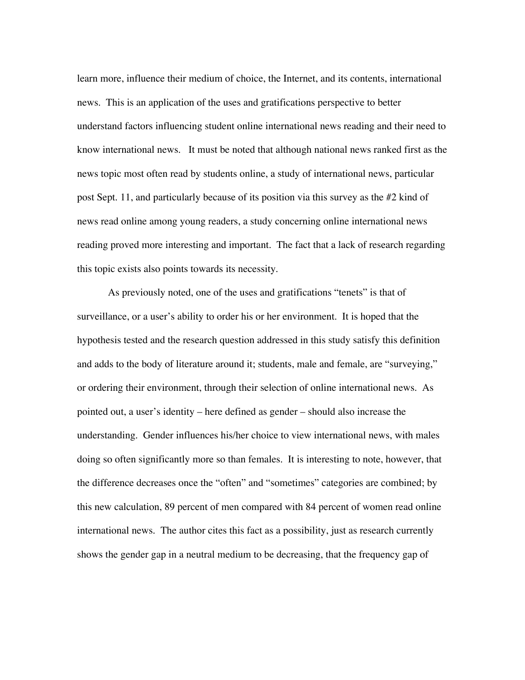learn more, influence their medium of choice, the Internet, and its contents, international news. This is an application of the uses and gratifications perspective to better understand factors influencing student online international news reading and their need to know international news. It must be noted that although national news ranked first as the news topic most often read by students online, a study of international news, particular post Sept. 11, and particularly because of its position via this survey as the #2 kind of news read online among young readers, a study concerning online international news reading proved more interesting and important. The fact that a lack of research regarding this topic exists also points towards its necessity.

As previously noted, one of the uses and gratifications "tenets" is that of surveillance, or a user's ability to order his or her environment. It is hoped that the hypothesis tested and the research question addressed in this study satisfy this definition and adds to the body of literature around it; students, male and female, are "surveying," or ordering their environment, through their selection of online international news. As pointed out, a user's identity – here defined as gender – should also increase the understanding. Gender influences his/her choice to view international news, with males doing so often significantly more so than females. It is interesting to note, however, that the difference decreases once the "often" and "sometimes" categories are combined; by this new calculation, 89 percent of men compared with 84 percent of women read online international news. The author cites this fact as a possibility, just as research currently shows the gender gap in a neutral medium to be decreasing, that the frequency gap of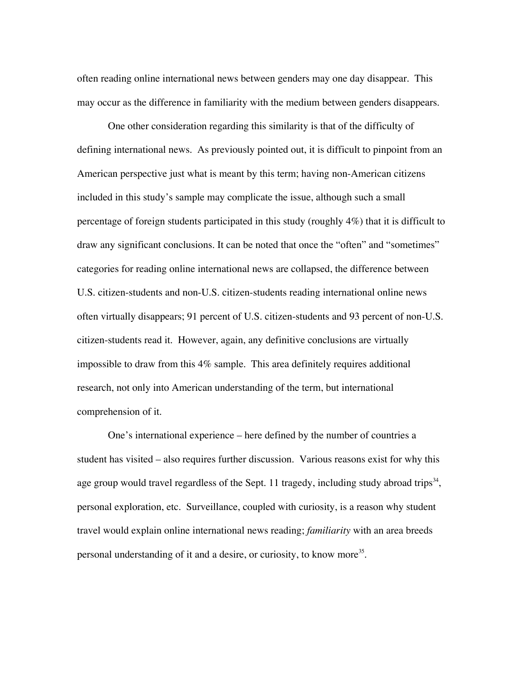often reading online international news between genders may one day disappear. This may occur as the difference in familiarity with the medium between genders disappears.

One other consideration regarding this similarity is that of the difficulty of defining international news. As previously pointed out, it is difficult to pinpoint from an American perspective just what is meant by this term; having non-American citizens included in this study's sample may complicate the issue, although such a small percentage of foreign students participated in this study (roughly 4%) that it is difficult to draw any significant conclusions. It can be noted that once the "often" and "sometimes" categories for reading online international news are collapsed, the difference between U.S. citizen-students and non-U.S. citizen-students reading international online news often virtually disappears; 91 percent of U.S. citizen-students and 93 percent of non-U.S. citizen-students read it. However, again, any definitive conclusions are virtually impossible to draw from this 4% sample. This area definitely requires additional research, not only into American understanding of the term, but international comprehension of it.

One's international experience – here defined by the number of countries a student has visited – also requires further discussion. Various reasons exist for why this age group would travel regardless of the Sept. 11 tragedy, including study abroad trips<sup>34</sup>, personal exploration, etc. Surveillance, coupled with curiosity, is a reason why student travel would explain online international news reading; *familiarity* with an area breeds personal understanding of it and a desire, or curiosity, to know more<sup>35</sup>.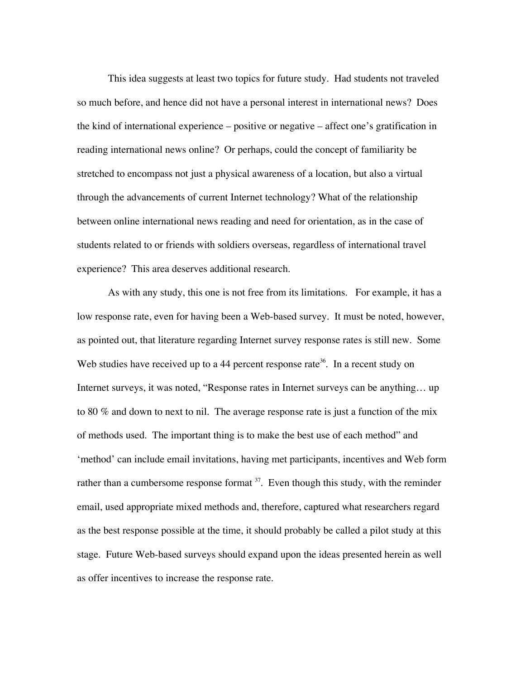This idea suggests at least two topics for future study. Had students not traveled so much before, and hence did not have a personal interest in international news? Does the kind of international experience – positive or negative – affect one's gratification in reading international news online? Or perhaps, could the concept of familiarity be stretched to encompass not just a physical awareness of a location, but also a virtual through the advancements of current Internet technology? What of the relationship between online international news reading and need for orientation, as in the case of students related to or friends with soldiers overseas, regardless of international travel experience? This area deserves additional research.

As with any study, this one is not free from its limitations. For example, it has a low response rate, even for having been a Web-based survey. It must be noted, however, as pointed out, that literature regarding Internet survey response rates is still new. Some Web studies have received up to a 44 percent response rate<sup>36</sup>. In a recent study on Internet surveys, it was noted, "Response rates in Internet surveys can be anything… up to 80 % and down to next to nil. The average response rate is just a function of the mix of methods used. The important thing is to make the best use of each method" and 'method' can include email invitations, having met participants, incentives and Web form rather than a cumbersome response format  $37$ . Even though this study, with the reminder email, used appropriate mixed methods and, therefore, captured what researchers regard as the best response possible at the time, it should probably be called a pilot study at this stage. Future Web-based surveys should expand upon the ideas presented herein as well as offer incentives to increase the response rate.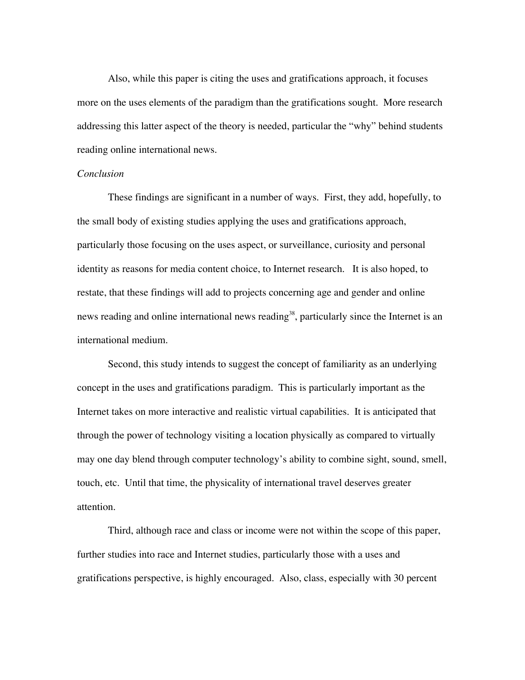Also, while this paper is citing the uses and gratifications approach, it focuses more on the uses elements of the paradigm than the gratifications sought. More research addressing this latter aspect of the theory is needed, particular the "why" behind students reading online international news.

#### *Conclusion*

These findings are significant in a number of ways. First, they add, hopefully, to the small body of existing studies applying the uses and gratifications approach, particularly those focusing on the uses aspect, or surveillance, curiosity and personal identity as reasons for media content choice, to Internet research. It is also hoped, to restate, that these findings will add to projects concerning age and gender and online news reading and online international news reading<sup>38</sup>, particularly since the Internet is an international medium.

Second, this study intends to suggest the concept of familiarity as an underlying concept in the uses and gratifications paradigm. This is particularly important as the Internet takes on more interactive and realistic virtual capabilities. It is anticipated that through the power of technology visiting a location physically as compared to virtually may one day blend through computer technology's ability to combine sight, sound, smell, touch, etc. Until that time, the physicality of international travel deserves greater attention.

Third, although race and class or income were not within the scope of this paper, further studies into race and Internet studies, particularly those with a uses and gratifications perspective, is highly encouraged. Also, class, especially with 30 percent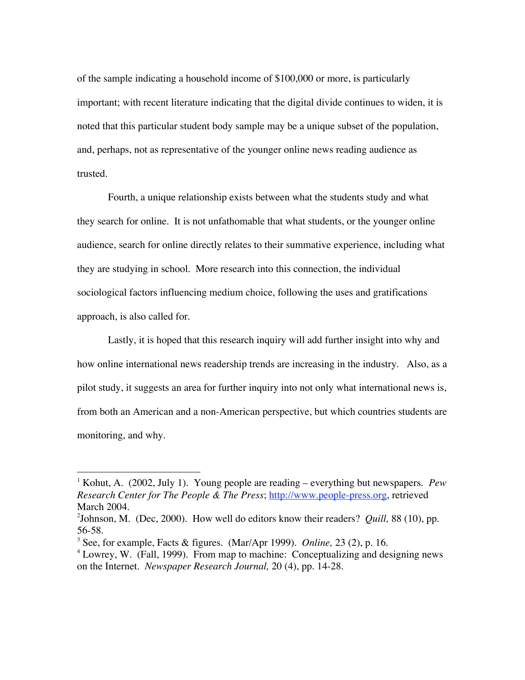of the sample indicating a household income of \$100,000 or more, is particularly important; with recent literature indicating that the digital divide continues to widen, it is noted that this particular student body sample may be a unique subset of the population, and, perhaps, not as representative of the younger online news reading audience as trusted.

Fourth, a unique relationship exists between what the students study and what they search for online. It is not unfathomable that what students, or the younger online audience, search for online directly relates to their summative experience, including what they are studying in school. More research into this connection, the individual sociological factors influencing medium choice, following the uses and gratifications approach, is also called for.

Lastly, it is hoped that this research inquiry will add further insight into why and how online international news readership trends are increasing in the industry. Also, as a pilot study, it suggests an area for further inquiry into not only what international news is, from both an American and a non-American perspective, but which countries students are monitoring, and why.

<sup>|&</sup>lt;br>|<br>| <sup>1</sup> Kohut, A. (2002, July 1). Young people are reading – everything but newspapers. *Pew Research Center for The People & The Press*; http://www.people-press.org, retrieved March 2004.

<sup>2</sup> Johnson, M. (Dec, 2000). How well do editors know their readers? *Quill,* 88 (10), pp. 56-58.

<sup>3</sup> See, for example, Facts & figures. (Mar/Apr 1999). *Online,* 23 (2), p. 16.

<sup>&</sup>lt;sup>4</sup> Lowrey, W. (Fall, 1999). From map to machine: Conceptualizing and designing news on the Internet. *Newspaper Research Journal,* 20 (4), pp. 14-28.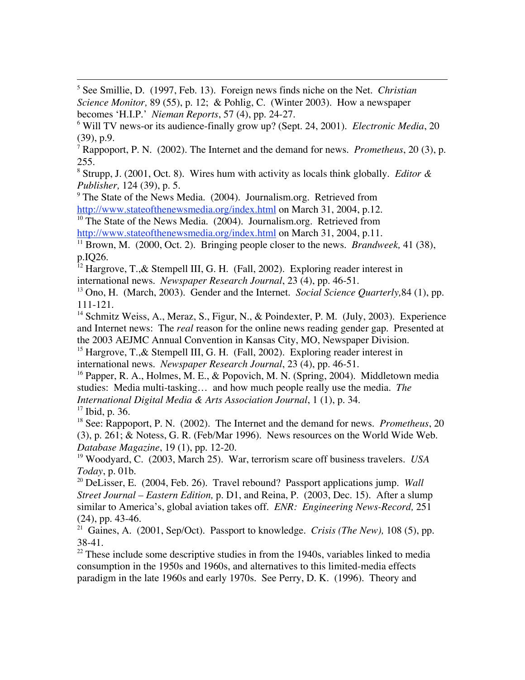5 See Smillie, D. (1997, Feb. 13). Foreign news finds niche on the Net. *Christian Science Monitor,* 89 (55), p. 12; & Pohlig, C. (Winter 2003). How a newspaper becomes 'H.I.P.' *Nieman Reports*, 57 (4), pp. 24-27.

8 Strupp, J. (2001, Oct. 8). Wires hum with activity as locals think globally. *Editor & Publisher,* 124 (39), p. 5.

<sup>9</sup> The State of the News Media. (2004). Journalism.org. Retrieved from http://www.stateofthenewsmedia.org/index.html on March 31, 2004, p.12.

<sup>10</sup> The State of the News Media. (2004). Journalism.org. Retrieved from http://www.stateofthenewsmedia.org/index.html on March 31, 2004, p.11.

<sup>11</sup> Brown, M. (2000, Oct. 2). Bringing people closer to the news. *Brandweek*, 41 (38), p.IQ26.

<sup>12</sup> Hargrove, T.,& Stempell III, G. H. (Fall, 2002). Exploring reader interest in international news. *Newspaper Research Journal*, 23 (4), pp. 46-51.

13 Ono, H. (March, 2003). Gender and the Internet. *Social Science Quarterly,*84 (1), pp. 111-121.

<sup>14</sup> Schmitz Weiss, A., Meraz, S., Figur, N., & Poindexter, P. M. (July, 2003). Experience and Internet news: The *real* reason for the online news reading gender gap. Presented at the 2003 AEJMC Annual Convention in Kansas City, MO, Newspaper Division.

<sup>15</sup> Hargrove, T.,& Stempell III, G. H. (Fall, 2002). Exploring reader interest in international news. *Newspaper Research Journal*, 23 (4), pp. 46-51.

<sup>16</sup> Papper, R. A., Holmes, M. E., & Popovich, M. N. (Spring, 2004). Middletown media studies: Media multi-tasking… and how much people really use the media. *The*

*International Digital Media & Arts Association Journal*, 1 (1), p. 34.

<sup>17</sup> Ibid, p. 36. 18 See: Rappoport, P. N. (2002). The Internet and the demand for news. *Prometheus*, 20 (3), p. 261; & Notess, G. R. (Feb/Mar 1996). News resources on the World Wide Web.

*Database Magazine*, 19 (1), pp. 12-20.

19 Woodyard, C. (2003, March 25). War, terrorism scare off business travelers. *USA Today*, p. 01b.

20 DeLisser, E. (2004, Feb. 26). Travel rebound? Passport applications jump. *Wall Street Journal – Eastern Edition,* p. D1, and Reina, P. (2003, Dec. 15). After a slump similar to America's, global aviation takes off. *ENR: Engineering News-Record,* 251 (24), pp. 43-46.

21 Gaines, A. (2001, Sep/Oct). Passport to knowledge. *Crisis (The New),* 108 (5), pp. 38-41.

 $2<sup>22</sup>$  These include some descriptive studies in from the 1940s, variables linked to media consumption in the 1950s and 1960s, and alternatives to this limited-media effects paradigm in the late 1960s and early 1970s. See Perry, D. K. (1996). Theory and

<sup>6</sup> Will TV news-or its audience-finally grow up? (Sept. 24, 2001). *Electronic Media*, 20 (39), p.9.

<sup>7</sup> Rappoport, P. N. (2002). The Internet and the demand for news. *Prometheus*, 20 (3), p. 255.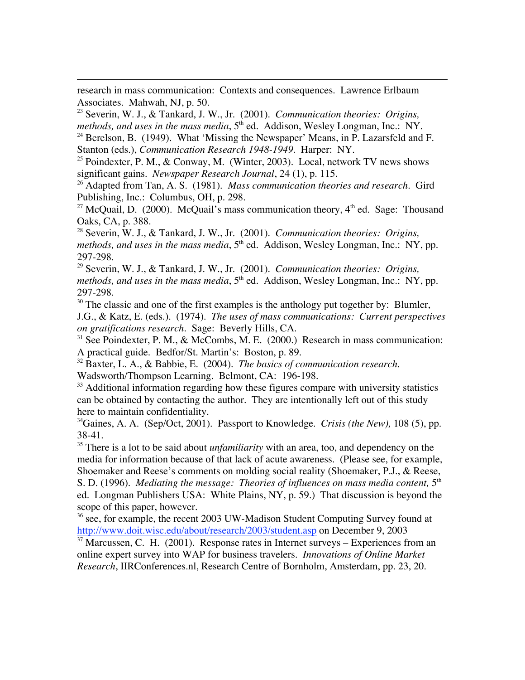research in mass communication: Contexts and consequences. Lawrence Erlbaum Associates. Mahwah, NJ, p. 50.

 $\overline{a}$ 

23 Severin, W. J., & Tankard, J. W., Jr. (2001). *Communication theories: Origins, methods, and uses in the mass media,*  $5<sup>th</sup>$  ed. Addison, Wesley Longman, Inc.: NY.

<sup>24</sup> Berelson, B. (1949). What 'Missing the Newspaper' Means, in P. Lazarsfeld and F. Stanton (eds.), *Communication Research 1948-1949*. Harper: NY.

<sup>25</sup> Poindexter, P. M., & Conway, M. (Winter, 2003). Local, network TV news shows significant gains. *Newspaper Research Journal*, 24 (1), p. 115.

26 Adapted from Tan, A. S. (1981). *Mass communication theories and research*. Gird Publishing, Inc.: Columbus, OH, p. 298.

<sup>27</sup> McQuail, D. (2000). McQuail's mass communication theory,  $4<sup>th</sup>$  ed. Sage: Thousand Oaks, CA, p. 388.

28 Severin, W. J., & Tankard, J. W., Jr. (2001). *Communication theories: Origins, methods, and uses in the mass media*, 5<sup>th</sup> ed. Addison, Wesley Longman, Inc.: NY, pp. 297-298.

29 Severin, W. J., & Tankard, J. W., Jr. (2001). *Communication theories: Origins, methods, and uses in the mass media*, 5<sup>th</sup> ed. Addison, Wesley Longman, Inc.: NY, pp. 297-298.

 $30$  The classic and one of the first examples is the anthology put together by: Blumler, J.G., & Katz, E. (eds.). (1974). *The uses of mass communications: Current perspectives on gratifications research.* Sage: Beverly Hills, CA.

<sup>31</sup> See Poindexter, P. M., & McCombs, M. E. (2000.) Research in mass communication: A practical guide. Bedfor/St. Martin's: Boston, p. 89.

32 Baxter, L. A., & Babbie, E. (2004). *The basics of communication research.* Wadsworth/Thompson Learning. Belmont, CA: 196-198.

 $33$  Additional information regarding how these figures compare with university statistics can be obtained by contacting the author. They are intentionally left out of this study here to maintain confidentiality.

34 Gaines, A. A. (Sep/Oct, 2001). Passport to Knowledge. *Crisis (the New),* 108 (5), pp. 38-41.

<sup>35</sup> There is a lot to be said about *unfamiliarity* with an area, too, and dependency on the media for information because of that lack of acute awareness. (Please see, for example, Shoemaker and Reese's comments on molding social reality (Shoemaker, P.J., & Reese, S. D. (1996). *Mediating the message: Theories of influences on mass media content*, 5<sup>th</sup> ed. Longman Publishers USA: White Plains, NY, p. 59.) That discussion is beyond the scope of this paper, however.

<sup>36</sup> see, for example, the recent 2003 UW-Madison Student Computing Survey found at http://www.doit.wisc.edu/about/research/2003/student.asp on December 9, 2003

 $37$  Marcussen, C. H. (2001). Response rates in Internet surveys – Experiences from an online expert survey into WAP for business travelers. *Innovations of Online Market Research*, IIRConferences.nl, Research Centre of Bornholm, Amsterdam, pp. 23, 20.